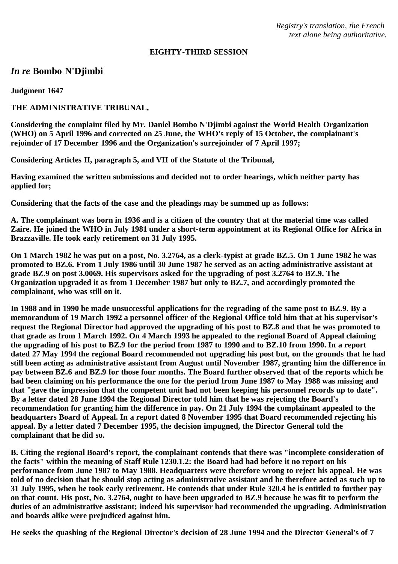*Registry's translation, the French text alone being authoritative.*

### **EIGHTY-THIRD SESSION**

# *In re* **Bombo N'Djimbi**

**Judgment 1647**

## **THE ADMINISTRATIVE TRIBUNAL,**

**Considering the complaint filed by Mr. Daniel Bombo N'Djimbi against the World Health Organization (WHO) on 5 April 1996 and corrected on 25 June, the WHO's reply of 15 October, the complainant's rejoinder of 17 December 1996 and the Organization's surrejoinder of 7 April 1997;**

**Considering Articles II, paragraph 5, and VII of the Statute of the Tribunal,**

**Having examined the written submissions and decided not to order hearings, which neither party has applied for;**

**Considering that the facts of the case and the pleadings may be summed up as follows:**

**A. The complainant was born in 1936 and is a citizen of the country that at the material time was called Zaire. He joined the WHO in July 1981 under a short-term appointment at its Regional Office for Africa in Brazzaville. He took early retirement on 31 July 1995.**

**On 1 March 1982 he was put on a post, No. 3.2764, as a clerk-typist at grade BZ.5. On 1 June 1982 he was promoted to BZ.6. From 1 July 1986 until 30 June 1987 he served as an acting administrative assistant at grade BZ.9 on post 3.0069. His supervisors asked for the upgrading of post 3.2764 to BZ.9. The Organization upgraded it as from 1 December 1987 but only to BZ.7, and accordingly promoted the complainant, who was still on it.**

**In 1988 and in 1990 he made unsuccessful applications for the regrading of the same post to BZ.9. By a memorandum of 19 March 1992 a personnel officer of the Regional Office told him that at his supervisor's request the Regional Director had approved the upgrading of his post to BZ.8 and that he was promoted to that grade as from 1 March 1992. On 4 March 1993 he appealed to the regional Board of Appeal claiming the upgrading of his post to BZ.9 for the period from 1987 to 1990 and to BZ.10 from 1990. In a report dated 27 May 1994 the regional Board recommended not upgrading his post but, on the grounds that he had still been acting as administrative assistant from August until November 1987, granting him the difference in pay between BZ.6 and BZ.9 for those four months. The Board further observed that of the reports which he had been claiming on his performance the one for the period from June 1987 to May 1988 was missing and that "gave the impression that the competent unit had not been keeping his personnel records up to date". By a letter dated 28 June 1994 the Regional Director told him that he was rejecting the Board's recommendation for granting him the difference in pay. On 21 July 1994 the complainant appealed to the headquarters Board of Appeal. In a report dated 8 November 1995 that Board recommended rejecting his appeal. By a letter dated 7 December 1995, the decision impugned, the Director General told the complainant that he did so.**

**B. Citing the regional Board's report, the complainant contends that there was "incomplete consideration of the facts" within the meaning of Staff Rule 1230.1.2: the Board had had before it no report on his performance from June 1987 to May 1988. Headquarters were therefore wrong to reject his appeal. He was told of no decision that he should stop acting as administrative assistant and he therefore acted as such up to 31 July 1995, when he took early retirement. He contends that under Rule 320.4 he is entitled to further pay on that count. His post, No. 3.2764, ought to have been upgraded to BZ.9 because he was fit to perform the duties of an administrative assistant; indeed his supervisor had recommended the upgrading. Administration and boards alike were prejudiced against him.**

**He seeks the quashing of the Regional Director's decision of 28 June 1994 and the Director General's of 7**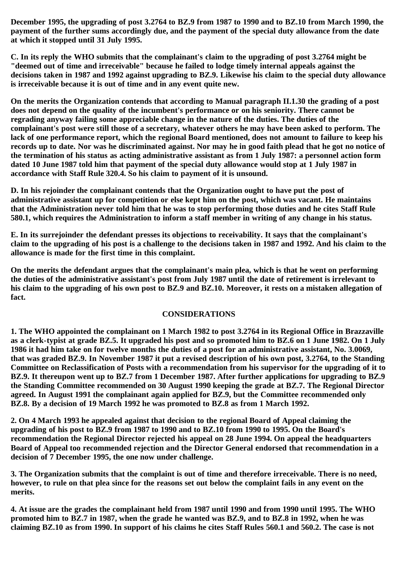**December 1995, the upgrading of post 3.2764 to BZ.9 from 1987 to 1990 and to BZ.10 from March 1990, the payment of the further sums accordingly due, and the payment of the special duty allowance from the date at which it stopped until 31 July 1995.**

**C. In its reply the WHO submits that the complainant's claim to the upgrading of post 3.2764 might be "deemed out of time and irreceivable" because he failed to lodge timely internal appeals against the decisions taken in 1987 and 1992 against upgrading to BZ.9. Likewise his claim to the special duty allowance is irreceivable because it is out of time and in any event quite new.**

**On the merits the Organization contends that according to Manual paragraph II.1.30 the grading of a post does not depend on the quality of the incumbent's performance or on his seniority. There cannot be regrading anyway failing some appreciable change in the nature of the duties. The duties of the complainant's post were still those of a secretary, whatever others he may have been asked to perform. The lack of one performance report, which the regional Board mentioned, does not amount to failure to keep his records up to date. Nor was he discriminated against. Nor may he in good faith plead that he got no notice of the termination of his status as acting administrative assistant as from 1 July 1987: a personnel action form dated 10 June 1987 told him that payment of the special duty allowance would stop at 1 July 1987 in accordance with Staff Rule 320.4. So his claim to payment of it is unsound.**

**D. In his rejoinder the complainant contends that the Organization ought to have put the post of administrative assistant up for competition or else kept him on the post, which was vacant. He maintains that the Administration never told him that he was to stop performing those duties and he cites Staff Rule 580.1, which requires the Administration to inform a staff member in writing of any change in his status.**

**E. In its surrejoinder the defendant presses its objections to receivability. It says that the complainant's claim to the upgrading of his post is a challenge to the decisions taken in 1987 and 1992. And his claim to the allowance is made for the first time in this complaint.**

**On the merits the defendant argues that the complainant's main plea, which is that he went on performing the duties of the administrative assistant's post from July 1987 until the date of retirement is irrelevant to his claim to the upgrading of his own post to BZ.9 and BZ.10. Moreover, it rests on a mistaken allegation of fact.**

## **CONSIDERATIONS**

**1. The WHO appointed the complainant on 1 March 1982 to post 3.2764 in its Regional Office in Brazzaville as a clerk-typist at grade BZ.5. It upgraded his post and so promoted him to BZ.6 on 1 June 1982. On 1 July 1986 it had him take on for twelve months the duties of a post for an administrative assistant, No. 3.0069, that was graded BZ.9. In November 1987 it put a revised description of his own post, 3.2764, to the Standing Committee on Reclassification of Posts with a recommendation from his supervisor for the upgrading of it to BZ.9. It thereupon went up to BZ.7 from 1 December 1987. After further applications for upgrading to BZ.9 the Standing Committee recommended on 30 August 1990 keeping the grade at BZ.7. The Regional Director agreed. In August 1991 the complainant again applied for BZ.9, but the Committee recommended only BZ.8. By a decision of 19 March 1992 he was promoted to BZ.8 as from 1 March 1992.**

**2. On 4 March 1993 he appealed against that decision to the regional Board of Appeal claiming the upgrading of his post to BZ.9 from 1987 to 1990 and to BZ.10 from 1990 to 1995. On the Board's recommendation the Regional Director rejected his appeal on 28 June 1994. On appeal the headquarters Board of Appeal too recommended rejection and the Director General endorsed that recommendation in a decision of 7 December 1995, the one now under challenge.**

**3. The Organization submits that the complaint is out of time and therefore irreceivable. There is no need, however, to rule on that plea since for the reasons set out below the complaint fails in any event on the merits.**

**4. At issue are the grades the complainant held from 1987 until 1990 and from 1990 until 1995. The WHO promoted him to BZ.7 in 1987, when the grade he wanted was BZ.9, and to BZ.8 in 1992, when he was claiming BZ.10 as from 1990. In support of his claims he cites Staff Rules 560.1 and 560.2. The case is not**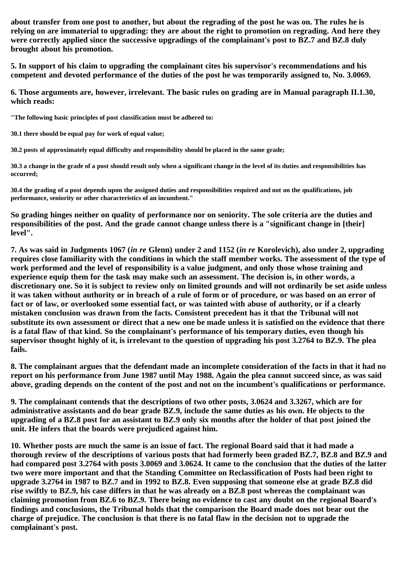**about transfer from one post to another, but about the regrading of the post he was on. The rules he is relying on are immaterial to upgrading: they are about the right to promotion on regrading. And here they were correctly applied since the successive upgradings of the complainant's post to BZ.7 and BZ.8 duly brought about his promotion.**

**5. In support of his claim to upgrading the complainant cites his supervisor's recommendations and his competent and devoted performance of the duties of the post he was temporarily assigned to, No. 3.0069.**

**6. Those arguments are, however, irrelevant. The basic rules on grading are in Manual paragraph II.1.30, which reads:**

**"The following basic principles of post classification must be adhered to:**

**30.1 there should be equal pay for work of equal value;**

**30.2 posts of approximately equal difficulty and responsibility should be placed in the same grade;**

**30.3 a change in the grade of a post should result only when a significant change in the level of its duties and responsibilities has occurred;**

**30.4 the grading of a post depends upon the assigned duties and responsibilities required and not on the qualifications, job performance, seniority or other characteristics of an incumbent."**

**So grading hinges neither on quality of performance nor on seniority. The sole criteria are the duties and responsibilities of the post. And the grade cannot change unless there is a "significant change in [their] level".**

**7. As was said in Judgments 1067 (***in re* **Glenn) under 2 and 1152 (***in re* **Korolevich), also under 2, upgrading requires close familiarity with the conditions in which the staff member works. The assessment of the type of work performed and the level of responsibility is a value judgment, and only those whose training and experience equip them for the task may make such an assessment. The decision is, in other words, a discretionary one. So it is subject to review only on limited grounds and will not ordinarily be set aside unless it was taken without authority or in breach of a rule of form or of procedure, or was based on an error of fact or of law, or overlooked some essential fact, or was tainted with abuse of authority, or if a clearly mistaken conclusion was drawn from the facts. Consistent precedent has it that the Tribunal will not substitute its own assessment or direct that a new one be made unless it is satisfied on the evidence that there is a fatal flaw of that kind. So the complainant's performance of his temporary duties, even though his supervisor thought highly of it, is irrelevant to the question of upgrading his post 3.2764 to BZ.9. The plea fails.**

**8. The complainant argues that the defendant made an incomplete consideration of the facts in that it had no report on his performance from June 1987 until May 1988. Again the plea cannot succeed since, as was said above, grading depends on the content of the post and not on the incumbent's qualifications or performance.**

**9. The complainant contends that the descriptions of two other posts, 3.0624 and 3.3267, which are for administrative assistants and do bear grade BZ.9, include the same duties as his own. He objects to the upgrading of a BZ.8 post for an assistant to BZ.9 only six months after the holder of that post joined the unit. He infers that the boards were prejudiced against him.**

**10. Whether posts are much the same is an issue of fact. The regional Board said that it had made a thorough review of the descriptions of various posts that had formerly been graded BZ.7, BZ.8 and BZ.9 and had compared post 3.2764 with posts 3.0069 and 3.0624. It came to the conclusion that the duties of the latter two were more important and that the Standing Committee on Reclassification of Posts had been right to upgrade 3.2764 in 1987 to BZ.7 and in 1992 to BZ.8. Even supposing that someone else at grade BZ.8 did rise swiftly to BZ.9, his case differs in that he was already on a BZ.8 post whereas the complainant was claiming promotion from BZ.6 to BZ.9. There being no evidence to cast any doubt on the regional Board's findings and conclusions, the Tribunal holds that the comparison the Board made does not bear out the charge of prejudice. The conclusion is that there is no fatal flaw in the decision not to upgrade the complainant's post.**